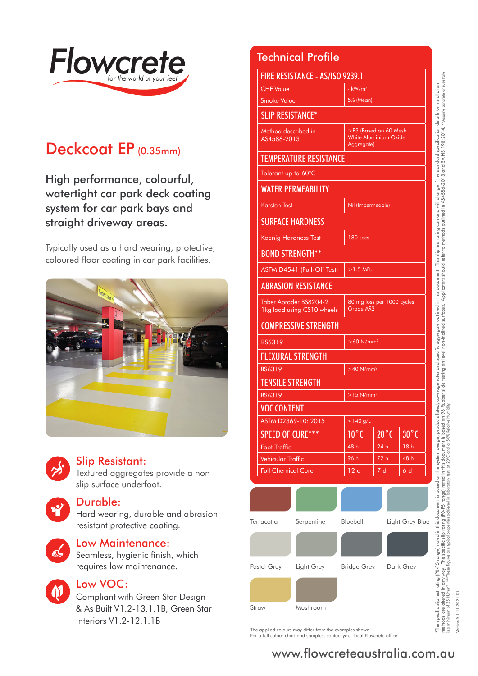

Version 5.1 11.2021 IO

sion 5.1 11.2021



# Deckcoat EP (0.35mm)

High performance, colourful, watertight car park deck coating system for car park bays and straight driveway areas.

Typically used as a hard wearing, protective, coloured floor coating in car park facilities.





### Slip Resistant:

Textured aggregates provide a non slip surface underfoot.

### Durable:

Hard wearing, durable and abrasion resistant protective coating.



### Low Maintenance:

Seamless, hygienic finish, which requires low maintenance.



# Low VOC:

Compliant with Green Star Design & As Built V1.2-13.1.1B, Green Star Interiors V1.2-12.1.1B

Technical Profile

| FIRE RESISTANCE - AS/ISO 9239.1 |                                                       |                          |                                                                     |                                         |                |  |  |
|---------------------------------|-------------------------------------------------------|--------------------------|---------------------------------------------------------------------|-----------------------------------------|----------------|--|--|
|                                 | <b>CHF Value</b>                                      |                          | $-kW/m2$                                                            |                                         |                |  |  |
|                                 | <b>Smoke Value</b><br>5% (Mean)                       |                          |                                                                     |                                         |                |  |  |
|                                 | <b>SLIP RESISTANCE*</b>                               |                          |                                                                     |                                         |                |  |  |
|                                 | Method described in<br>AS4586-2013                    |                          | >P3 (Based on 60 Mesh<br><b>White Aluminium Oxide</b><br>Aggregate) |                                         |                |  |  |
|                                 | <b>TEMPERATURE RESISTANCE</b>                         |                          |                                                                     |                                         |                |  |  |
|                                 | Tolerant up to 60°C                                   |                          |                                                                     |                                         |                |  |  |
|                                 | <b>WATER PERMEABILITY</b>                             |                          |                                                                     |                                         |                |  |  |
|                                 | <b>Karsten Test</b>                                   |                          | Nil (Impermeable)                                                   |                                         |                |  |  |
|                                 | <b>SURFACE HARDNESS</b>                               |                          |                                                                     |                                         |                |  |  |
|                                 | Koenig Hardness Test                                  |                          | 180 secs                                                            |                                         |                |  |  |
|                                 |                                                       | <b>BOND STRENGTH**</b>   |                                                                     |                                         |                |  |  |
|                                 | ASTM D4541 (Pull-Off Test)                            |                          | $>1.5$ MPa                                                          |                                         |                |  |  |
|                                 | <b>ABRASION RESISTANCE</b>                            |                          |                                                                     |                                         |                |  |  |
|                                 | Taber Abrader BS8204-2<br>1kg load using CS10 wheels  |                          |                                                                     | 80 mg loss per 1000 cycles<br>Grade AR2 |                |  |  |
|                                 | <b>COMPRESSIVE STRENGTH</b>                           |                          |                                                                     |                                         |                |  |  |
|                                 | BS6319<br>$>60$ N/mm <sup>2</sup>                     |                          |                                                                     |                                         |                |  |  |
|                                 |                                                       | <b>FLEXURAL STRENGTH</b> |                                                                     |                                         |                |  |  |
|                                 | <b>BS6319</b><br>$>40$ N/mm <sup>2</sup>              |                          |                                                                     |                                         |                |  |  |
|                                 |                                                       | <b>TENSILE STRENGTH</b>  |                                                                     |                                         |                |  |  |
|                                 | BS6319                                                |                          | $>15$ N/mm <sup>2</sup>                                             |                                         |                |  |  |
|                                 | <b>VOC CONTENT</b>                                    |                          |                                                                     |                                         |                |  |  |
|                                 | ASTM D2369-10: 2015                                   |                          | $<$ 140 g/L                                                         |                                         |                |  |  |
|                                 | <b>SPEED OF CURE***</b>                               |                          | $10^{\circ}$ C                                                      | $20^{\circ}$ C                          | $30^{\circ}$ C |  |  |
|                                 | <b>Foot Traffic</b>                                   |                          | 48 h                                                                | 24 h                                    | 18h            |  |  |
|                                 | <b>Vehicular Traffic</b><br><b>Full Chemical Cure</b> |                          | 96 h                                                                | 72 h<br>7d                              | 48 h<br>6 d    |  |  |
|                                 |                                                       |                          | 12d                                                                 |                                         |                |  |  |
|                                 |                                                       |                          |                                                                     |                                         |                |  |  |
| Serpentine<br>Terracotta        |                                                       | Bluebell                 |                                                                     | Light Grey Blue                         |                |  |  |
|                                 |                                                       |                          |                                                                     |                                         |                |  |  |
| Pastel Grey Light Grey          |                                                       | Bridge Grey Dark Grey    |                                                                     |                                         |                |  |  |
|                                 |                                                       |                          |                                                                     |                                         |                |  |  |
|                                 | Straw                                                 | Mushroom                 |                                                                     |                                         |                |  |  |

The applied colours may differ from the examples shown. For a full colour chart and samples, contact your local Flowcrete office.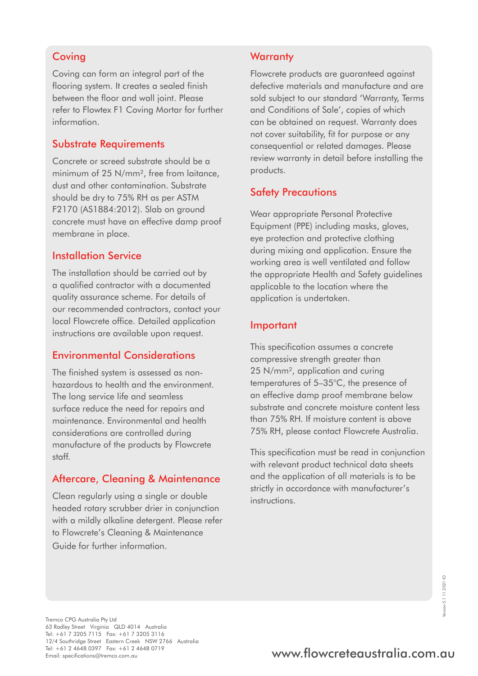### **Coving**

Coving can form an integral part of the flooring system. It creates a sealed finish between the floor and wall joint. Please refer to Flowtex F1 Coving Mortar for further information.

### Substrate Requirements

Concrete or screed substrate should be a minimum of 25 N/mm<sup>2</sup>, free from laitance. dust and other contamination. Substrate should be dry to 75% RH as per ASTM F2170 (AS1884:2012). Slab on ground concrete must have an effective damp proof membrane in place.

### Installation Service

The installation should be carried out by a qualified contractor with a documented quality assurance scheme. For details of our recommended contractors, contact your local Flowcrete office. Detailed application instructions are available upon request.

### Environmental Considerations

The finished system is assessed as nonhazardous to health and the environment. The long service life and seamless surface reduce the need for repairs and maintenance. Environmental and health considerations are controlled during manufacture of the products by Flowcrete staff.

### Aftercare, Cleaning & Maintenance

Clean regularly using a single or double headed rotary scrubber drier in conjunction with a mildly alkaline detergent. Please refer to Flowcrete's Cleaning & Maintenance Guide for further information.

#### **Warranty**

Flowcrete products are guaranteed against defective materials and manufacture and are sold subject to our standard 'Warranty, Terms and Conditions of Sale', copies of which can be obtained on request. Warranty does not cover suitability, fit for purpose or any consequential or related damages. Please review warranty in detail before installing the products.

### Safety Precautions

Wear appropriate Personal Protective Equipment (PPE) including masks, gloves, eye protection and protective clothing during mixing and application. Ensure the working area is well ventilated and follow the appropriate Health and Safety guidelines applicable to the location where the application is undertaken.

#### Important

This specification assumes a concrete compressive strength greater than 25 N/mm², application and curing temperatures of 5–35°C, the presence of an effective damp proof membrane below substrate and concrete moisture content less than 75% RH. If moisture content is above 75% RH, please contact Flowcrete Australia.

This specification must be read in conjunction with relevant product technical data sheets and the application of all materials is to be strictly in accordance with manufacturer's instructions.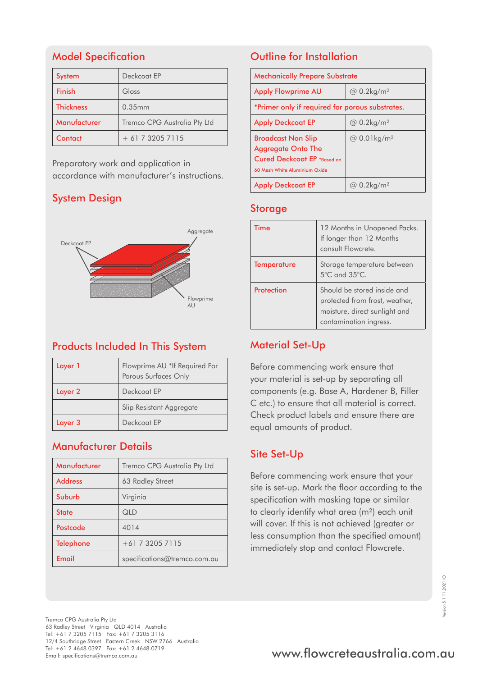# Model Specification

| <b>System</b>    | Deckcoat FP                  |
|------------------|------------------------------|
| <b>Finish</b>    | Gloss                        |
| <b>Thickness</b> | 0.35mm                       |
| Manufacturer     | Tremco CPG Australia Pty Ltd |
| Contact          | $+61732057115$               |

Preparatory work and application in accordance with manufacturer's instructions.

# System Design



# Products Included In This System

| Layer 1 | Flowprime AU *If Required For<br>Porous Surfaces Only |  |
|---------|-------------------------------------------------------|--|
| Layer 2 | Deckcoat FP                                           |  |
|         | Slip Resistant Aggregate                              |  |
| Layer 3 | Deckcoat FP                                           |  |

### Manufacturer Details

| Manufacturer     | Tremco CPG Australia Pty Ltd |  |
|------------------|------------------------------|--|
| <b>Address</b>   | 63 Radley Street             |  |
| Suburb           | Virginia                     |  |
| <b>State</b>     | QLD                          |  |
| Postcode         | 4014                         |  |
| <b>Telephone</b> | $+61$ 7 3205 7115            |  |
| Email            | specifications@tremco.com.au |  |

# Outline for Installation

| <b>Mechanically Prepare Substrate</b>                                                                                  |                                       |  |
|------------------------------------------------------------------------------------------------------------------------|---------------------------------------|--|
| <b>Apply Flowprime AU</b>                                                                                              | @ 0.2kg/m <sup>2</sup>                |  |
| *Primer only if required for porous substrates.                                                                        |                                       |  |
| <b>Apply Deckcoat EP</b>                                                                                               | $\omega$ 0.2kg/m <sup>2</sup>         |  |
| <b>Broadcast Non Slip</b><br><b>Aggregate Onto The</b><br>Cured Deckcoat EP *Based on<br>60 Mesh White Aluminium Oxide | @ 0.01kg/m <sup>2</sup>               |  |
| <b>Apply Deckcoat EP</b>                                                                                               | $0.2$ kg/m <sup>2</sup><br>$(\omega)$ |  |

### Storage

| Time               | 12 Months in Unopened Packs.<br>If longer than 12 Months<br>consult Flowcrete.                                           |
|--------------------|--------------------------------------------------------------------------------------------------------------------------|
| <b>Temperature</b> | Storage temperature between<br>5°C and 35°C.                                                                             |
| Protection         | Should be stored inside and<br>protected from frost, weather,<br>moisture, direct sunlight and<br>contamination ingress. |

### Material Set-Up

Before commencing work ensure that your material is set-up by separating all components (e.g. Base A, Hardener B, Filler C etc.) to ensure that all material is correct. Check product labels and ensure there are equal amounts of product.

# Site Set-Up

Before commencing work ensure that your site is set-up. Mark the floor according to the specification with masking tape or similar to clearly identify what area (m²) each unit will cover. If this is not achieved (greater or less consumption than the specified amount) immediately stop and contact Flowcrete.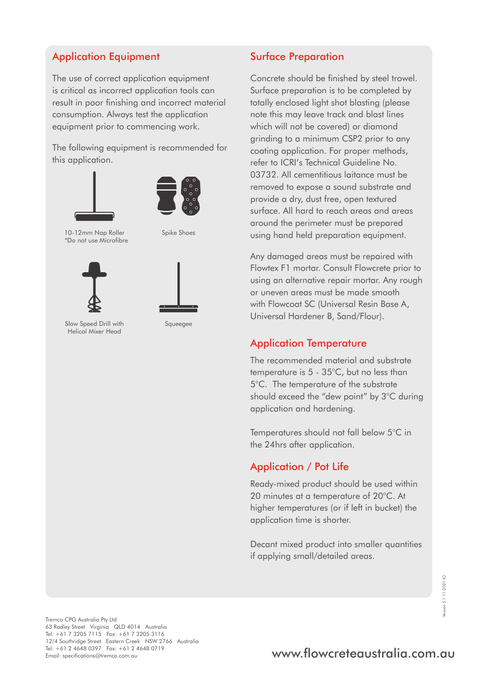# Application Equipment

The use of correct application equipment is critical as incorrect application tools can result in poor finishing and incorrect material consumption. Always test the application equipment prior to commencing work.

The following equipment is recommended for this application.





10-12mm Nap Roller \*Do not use Microfibre

Spike Shoes





Slow Speed Drill with Helical Mixer Head

Squeegee

# Surface Preparation

Concrete should be finished by steel trowel. Surface preparation is to be completed by totally enclosed light shot blasting (please note this may leave track and blast lines which will not be covered) or diamond grinding to a minimum CSP2 prior to any coating application. For proper methods, refer to ICRI's Technical Guideline No. 03732. All cementitious laitance must be removed to expose a sound substrate and provide a dry, dust free, open textured surface. All hard to reach areas and areas around the perimeter must be prepared using hand held preparation equipment.

Any damaged areas must be repaired with Flowtex F1 mortar. Consult Flowcrete prior to using an alternative repair mortar. Any rough or uneven areas must be made smooth with Flowcoat SC (Universal Resin Base A, Universal Hardener B, Sand/Flour).

### Application Temperature

The recommended material and substrate temperature is 5 - 35°C, but no less than 5°C. The temperature of the substrate should exceed the "dew point" by 3°C during application and hardening.

Temperatures should not fall below 5°C in the 24hrs after application.

# Application / Pot Life

Ready-mixed product should be used within 20 minutes at a temperature of 20°C. At higher temperatures (or if left in bucket) the application time is shorter.

Decant mixed product into smaller quantities if applying small/detailed areas.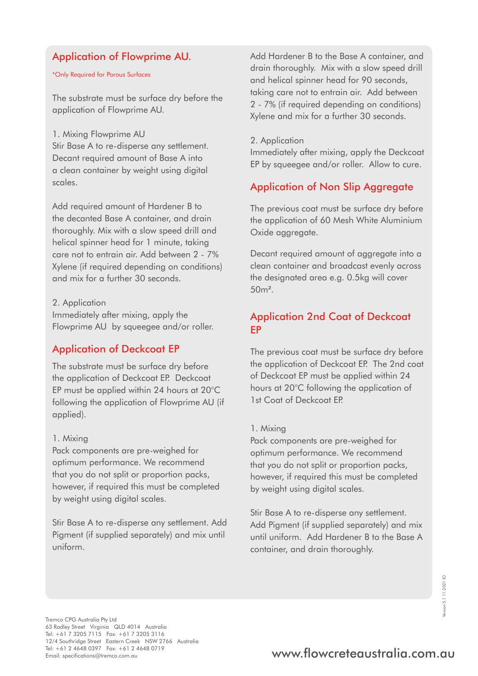### Application of Flowprime AU.

\*Only Required for Porous Surfaces

The substrate must be surface dry before the application of Flowprime AU.

#### 1. Mixing Flowprime AU

Stir Base A to re-disperse any settlement. Decant required amount of Base A into a clean container by weight using digital scales.

Add required amount of Hardener B to the decanted Base A container, and drain thoroughly. Mix with a slow speed drill and helical spinner head for 1 minute, taking care not to entrain air. Add between 2 - 7% Xylene (if required depending on conditions) and mix for a further 30 seconds.

2. Application

Immediately after mixing, apply the Flowprime AU by squeegee and/or roller.

### Application of Deckcoat EP

The substrate must be surface dry before the application of Deckcoat EP. Deckcoat EP must be applied within 24 hours at 20°C following the application of Flowprime AU (if applied).

#### 1. Mixing

Pack components are pre-weighed for optimum performance. We recommend that you do not split or proportion packs, however, if required this must be completed by weight using digital scales.

Stir Base A to re-disperse any settlement. Add Pigment (if supplied separately) and mix until uniform.

Add Hardener B to the Base A container, and drain thoroughly. Mix with a slow speed drill and helical spinner head for 90 seconds, taking care not to entrain air. Add between 2 - 7% (if required depending on conditions) Xylene and mix for a further 30 seconds.

#### 2. Application

Immediately after mixing, apply the Deckcoat EP by squeegee and/or roller. Allow to cure.

### Application of Non Slip Aggregate

The previous coat must be surface dry before the application of 60 Mesh White Aluminium Oxide aggregate.

Decant required amount of aggregate into a clean container and broadcast evenly across the designated area e.g. 0.5kg will cover 50m².

### Application 2nd Coat of Deckcoat EP

The previous coat must be surface dry before the application of Deckcoat EP. The 2nd coat of Deckcoat EP must be applied within 24 hours at 20°C following the application of 1st Coat of Deckcoat EP.

#### 1. Mixing

Pack components are pre-weighed for optimum performance. We recommend that you do not split or proportion packs, however, if required this must be completed by weight using digital scales.

Stir Base A to re-disperse any settlement. Add Pigment (if supplied separately) and mix until uniform. Add Hardener B to the Base A container, and drain thoroughly.